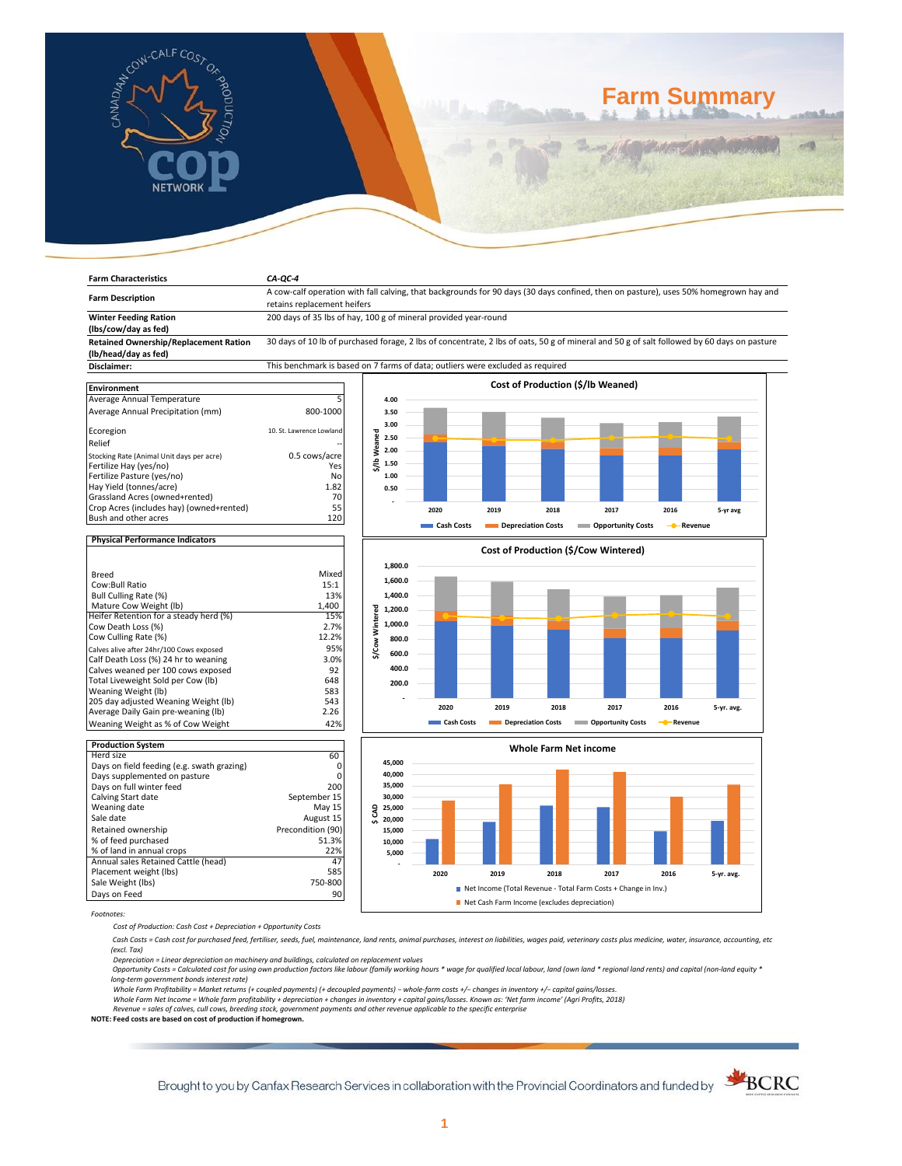

# **Farm Summary**

| <b>Farm Characteristics</b>                                                      | $CA-QC-4$                                                                      |                     |            |                                              |                                                                                                                                            |                         |            |
|----------------------------------------------------------------------------------|--------------------------------------------------------------------------------|---------------------|------------|----------------------------------------------|--------------------------------------------------------------------------------------------------------------------------------------------|-------------------------|------------|
|                                                                                  |                                                                                |                     |            |                                              | A cow-calf operation with fall calving, that backgrounds for 90 days (30 days confined, then on pasture), uses 50% homegrown hay and       |                         |            |
| <b>Farm Description</b>                                                          | retains replacement heifers                                                    |                     |            |                                              |                                                                                                                                            |                         |            |
| <b>Winter Feeding Ration</b><br>(lbs/cow/day as fed)                             | 200 days of 35 lbs of hay, 100 g of mineral provided year-round                |                     |            |                                              |                                                                                                                                            |                         |            |
| <b>Retained Ownership/Replacement Ration</b>                                     |                                                                                |                     |            |                                              | 30 days of 10 lb of purchased forage, 2 lbs of concentrate, 2 lbs of oats, 50 g of mineral and 50 g of salt followed by 60 days on pasture |                         |            |
| (lb/head/day as fed)                                                             |                                                                                |                     |            |                                              |                                                                                                                                            |                         |            |
| Disclaimer:                                                                      | This benchmark is based on 7 farms of data; outliers were excluded as required |                     |            |                                              |                                                                                                                                            |                         |            |
|                                                                                  |                                                                                |                     |            | Cost of Production (\$/lb Weaned)            |                                                                                                                                            |                         |            |
| Environment                                                                      |                                                                                |                     |            |                                              |                                                                                                                                            |                         |            |
| Average Annual Temperature                                                       | 5                                                                              | 4.00                |            |                                              |                                                                                                                                            |                         |            |
| Average Annual Precipitation (mm)                                                | 800-1000                                                                       | 3.50                |            |                                              |                                                                                                                                            |                         |            |
| Ecoregion                                                                        | 10. St. Lawrence Lowland                                                       | 3.00                |            |                                              |                                                                                                                                            |                         |            |
| Relief                                                                           |                                                                                | \$/lbWeaned<br>2.50 |            |                                              |                                                                                                                                            |                         |            |
| Stocking Rate (Animal Unit days per acre)                                        | 0.5 cows/acre                                                                  | 2.00                |            |                                              |                                                                                                                                            |                         |            |
| Fertilize Hay (yes/no)                                                           | Yes                                                                            | 1.50                |            |                                              |                                                                                                                                            |                         |            |
| Fertilize Pasture (yes/no)                                                       | No                                                                             | 1.00                |            |                                              |                                                                                                                                            |                         |            |
| Hay Yield (tonnes/acre)                                                          | 1.82                                                                           | 0.50                |            |                                              |                                                                                                                                            |                         |            |
| Grassland Acres (owned+rented)                                                   | 70                                                                             |                     |            |                                              |                                                                                                                                            |                         |            |
| Crop Acres (includes hay) (owned+rented)                                         | 55                                                                             |                     | 2020       | 2019<br>2018                                 | 2017                                                                                                                                       | 2016                    | 5-yr avg   |
| Bush and other acres                                                             | 120                                                                            |                     | Cash Costs | Depreciation Costs                           | <b>Opportunity Costs</b>                                                                                                                   | - Revenue               |            |
| <b>Physical Performance Indicators</b>                                           |                                                                                |                     |            |                                              |                                                                                                                                            |                         |            |
|                                                                                  |                                                                                |                     |            | Cost of Production (\$/Cow Wintered)         |                                                                                                                                            |                         |            |
|                                                                                  |                                                                                | 1,800.0             |            |                                              |                                                                                                                                            |                         |            |
| <b>Breed</b>                                                                     | Mixed                                                                          |                     |            |                                              |                                                                                                                                            |                         |            |
| Cow:Bull Ratio                                                                   | 15:1                                                                           | 1,600.0             |            |                                              |                                                                                                                                            |                         |            |
| Bull Culling Rate (%)                                                            | 13%                                                                            | 1,400.0             |            |                                              |                                                                                                                                            |                         |            |
| Mature Cow Weight (lb)                                                           | 1,400                                                                          | 1,200.0             |            |                                              |                                                                                                                                            |                         |            |
| Heifer Retention for a steady herd (%)                                           | 15%                                                                            | Wintered<br>1,000.0 |            |                                              |                                                                                                                                            |                         |            |
| Cow Death Loss (%)                                                               | 2.7%<br>12.2%                                                                  |                     |            |                                              |                                                                                                                                            |                         |            |
| Cow Culling Rate (%)                                                             | 95%                                                                            | 800.0<br>\$/Cow     |            |                                              |                                                                                                                                            |                         |            |
| Calves alive after 24hr/100 Cows exposed<br>Calf Death Loss (%) 24 hr to weaning | 3.0%                                                                           | 600.0               |            |                                              |                                                                                                                                            |                         |            |
| Calves weaned per 100 cows exposed                                               | 92                                                                             | 400.0               |            |                                              |                                                                                                                                            |                         |            |
| Total Liveweight Sold per Cow (lb)                                               | 648                                                                            | 200.0               |            |                                              |                                                                                                                                            |                         |            |
| Weaning Weight (lb)                                                              | 583                                                                            |                     |            |                                              |                                                                                                                                            |                         |            |
| 205 day adjusted Weaning Weight (lb)                                             | 543                                                                            |                     | 2020       | 2019<br>2018                                 | 2017                                                                                                                                       | 2016                    | 5-yr. avg. |
| Average Daily Gain pre-weaning (lb)                                              | 2.26                                                                           |                     |            |                                              |                                                                                                                                            |                         |            |
| Weaning Weight as % of Cow Weight                                                | 42%                                                                            |                     | Cash Costs | Depreciation Costs                           | <b>COPPORTUGITY COSTS</b>                                                                                                                  | - <sup>0</sup> -Revenue |            |
| <b>Production System</b>                                                         |                                                                                |                     |            |                                              |                                                                                                                                            |                         |            |
| Herd size                                                                        | 60                                                                             |                     |            | <b>Whole Farm Net income</b>                 |                                                                                                                                            |                         |            |
| Days on field feeding (e.g. swath grazing)                                       | 0                                                                              | 45,000              |            |                                              |                                                                                                                                            |                         |            |
| Days supplemented on pasture                                                     | 0                                                                              | 40,000              |            |                                              |                                                                                                                                            |                         |            |
| Days on full winter feed                                                         | 200                                                                            | 35,000              |            |                                              |                                                                                                                                            |                         |            |
| Calving Start date                                                               | September 15                                                                   | 30,000              |            |                                              |                                                                                                                                            |                         |            |
| Weaning date<br>Sale date                                                        | May 15<br>August 15                                                            | \$CAD<br>25,000     |            |                                              |                                                                                                                                            |                         |            |
| Retained ownership                                                               | Precondition (90)                                                              | 20,000<br>15,000    |            |                                              |                                                                                                                                            |                         |            |
| % of feed purchased                                                              | 51.3%                                                                          | 10,000              |            |                                              |                                                                                                                                            |                         |            |
|                                                                                  | 22%                                                                            | 5,000               |            |                                              |                                                                                                                                            |                         |            |
| % of land in annual crops                                                        |                                                                                |                     |            |                                              |                                                                                                                                            |                         |            |
| Annual sales Retained Cattle (head)                                              | 47                                                                             |                     |            |                                              |                                                                                                                                            |                         |            |
| Placement weight (lbs)                                                           | 585                                                                            |                     | 2020       | 2019<br>2018                                 | 2017                                                                                                                                       | 2016<br>5-yr. avg.      |            |
| Sale Weight (lbs)                                                                | 750-800                                                                        |                     |            |                                              |                                                                                                                                            |                         |            |
| Days on Feed                                                                     | 90                                                                             |                     |            | Net Cash Farm Income (excludes depreciation) | Net Income (Total Revenue - Total Farm Costs + Change in Inv.)                                                                             |                         |            |

*Cost of Production: Cash Cost + Depreciation + Opportunity Costs*

 *Cash Costs = Cash cost for purchased feed, fertiliser, seeds, fuel, maintenance, land rents, animal purchases, interest on liabilities, wages paid, veterinary costs plus medicine, water, insurance, accounting, etc (excl. Tax)* 

Depreciation = Linear depreciation on machinery and buildings, calculated on replacement values<br>Opportunity Costs = Calculated cost for using own production factors like labour (family working hours \* wage for qualified lo

*long-term government bonds interest rate)* 

Whole Farm Profitability = Market returns (+ coupled payments) (+ decoupled payments) – whole-farm costs +/– changes in inventory +/– capital gains/losses.<br>Whole Farm Net Income = Whole farm profitability + depreciation +

*Revenue = sales of calves, cull cows, breeding stock, government payments and other revenue applicable to the specific enterprise* **NOTE: Feed costs are based on cost of production if homegrown.**

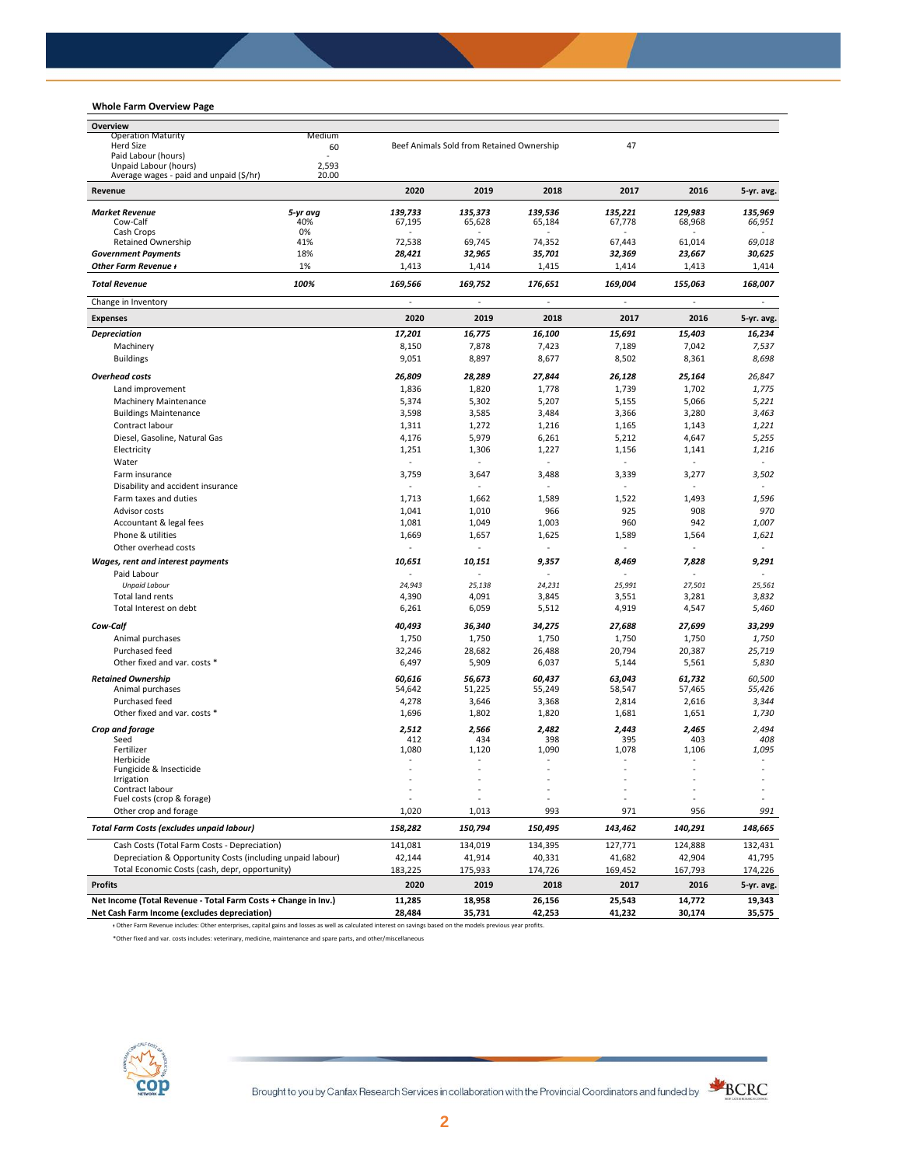# **Whole Farm Overview Page**

| Whole Farm Overview Page                                       |           |                          |                                           |                          |                  |                          |                          |
|----------------------------------------------------------------|-----------|--------------------------|-------------------------------------------|--------------------------|------------------|--------------------------|--------------------------|
| Overview                                                       |           |                          |                                           |                          |                  |                          |                          |
| <b>Operation Maturity</b>                                      | Medium    |                          |                                           |                          |                  |                          |                          |
| <b>Herd Size</b><br>Paid Labour (hours)                        | 60        |                          | Beef Animals Sold from Retained Ownership |                          | 47               |                          |                          |
| Unpaid Labour (hours)                                          | 2,593     |                          |                                           |                          |                  |                          |                          |
| Average wages - paid and unpaid (\$/hr)                        | 20.00     |                          |                                           |                          |                  |                          |                          |
| Revenue                                                        |           | 2020                     | 2019                                      | 2018                     | 2017             | 2016                     | 5-yr. avg.               |
| <b>Market Revenue</b>                                          | 5-yr avg  | 139,733                  | 135,373                                   | 139,536                  | 135,221          | 129.983                  | 135,969                  |
| Cow-Calf                                                       | 40%       | 67,195                   | 65,628                                    | 65,184                   | 67,778           | 68,968                   | 66,951                   |
| Cash Crops<br><b>Retained Ownership</b>                        | 0%<br>41% | 72,538                   | 69,745                                    | 74,352                   | 67,443           | 61,014                   | 69,018                   |
| <b>Government Payments</b>                                     | 18%       | 28,421                   | 32,965                                    | 35,701                   | 32,369           | 23,667                   | 30,625                   |
| Other Farm Revenue +                                           | 1%        | 1,413                    | 1,414                                     | 1,415                    | 1,414            | 1,413                    | 1,414                    |
| <b>Total Revenue</b>                                           | 100%      | 169,566                  | 169,752                                   | 176,651                  | 169,004          | 155,063                  | 168,007                  |
| Change in Inventory                                            |           | $\bar{z}$                | ÷,                                        | ÷,                       | ÷,               | ä,                       | ÷,                       |
| <b>Expenses</b>                                                |           | 2020                     | 2019                                      | 2018                     | 2017             | 2016                     | 5-yr. avg.               |
| <b>Depreciation</b>                                            |           | 17,201                   | 16,775                                    | 16,100                   | 15,691           | 15,403                   | 16,234                   |
| Machinery                                                      |           | 8,150                    | 7,878                                     | 7,423                    | 7,189            | 7,042                    | 7,537                    |
| <b>Buildings</b>                                               |           | 9,051                    | 8,897                                     | 8,677                    | 8,502            | 8,361                    | 8,698                    |
| <b>Overhead costs</b>                                          |           | 26,809                   | 28,289                                    | 27,844                   | 26,128           | 25,164                   | 26,847                   |
| Land improvement                                               |           | 1,836                    | 1,820                                     | 1,778                    | 1,739            | 1,702                    | 1,775                    |
| Machinery Maintenance                                          |           | 5,374                    | 5,302                                     | 5,207                    | 5,155            | 5,066                    | 5,221                    |
| <b>Buildings Maintenance</b>                                   |           | 3,598                    | 3,585                                     | 3,484                    | 3,366            | 3,280                    | 3,463                    |
| Contract labour                                                |           | 1,311                    | 1,272                                     | 1,216                    | 1,165            | 1,143                    | 1,221                    |
| Diesel, Gasoline, Natural Gas                                  |           | 4,176                    | 5,979                                     | 6,261                    | 5,212            | 4,647                    | 5,255                    |
| Electricity                                                    |           | 1,251                    | 1,306                                     | 1,227                    | 1,156            | 1,141                    | 1,216                    |
| Water                                                          |           | $\overline{\phantom{a}}$ | ä,                                        | ä,                       | $\sim$           | $\overline{\phantom{a}}$ | ÷,                       |
| Farm insurance                                                 |           | 3,759                    | 3,647                                     | 3,488                    | 3,339            | 3,277                    | 3,502                    |
| Disability and accident insurance                              |           | $\sim$                   |                                           | ÷                        | ÷                |                          | $\sim$                   |
| Farm taxes and duties                                          |           | 1,713                    | 1,662                                     | 1,589                    | 1,522            | 1,493                    | 1,596                    |
| Advisor costs                                                  |           | 1,041                    | 1,010                                     | 966                      | 925              | 908                      | 970                      |
| Accountant & legal fees                                        |           | 1,081                    | 1,049                                     | 1,003                    | 960              | 942                      | 1,007                    |
| Phone & utilities                                              |           | 1,669                    | 1,657                                     | 1,625                    | 1,589            | 1,564                    | 1,621                    |
| Other overhead costs                                           |           |                          |                                           | ٠                        |                  | $\sim$                   | ٠                        |
| <b>Wages, rent and interest payments</b>                       |           | 10,651                   | 10,151                                    | 9,357                    | 8,469            | 7,828                    | 9,291                    |
| Paid Labour                                                    |           |                          |                                           |                          |                  |                          |                          |
| <b>Unpaid Labour</b>                                           |           | 24,943                   | 25,138                                    | 24,231                   | 25,991           | 27,501                   | 25,561                   |
| Total land rents                                               |           | 4,390                    | 4,091                                     | 3,845                    | 3,551            | 3,281                    | 3,832                    |
| Total Interest on debt                                         |           | 6,261                    | 6,059                                     | 5,512                    | 4,919            | 4,547                    | 5,460                    |
| Cow-Calf                                                       |           | 40,493                   | 36,340                                    | 34,275                   | 27,688           | 27,699                   | 33,299                   |
| Animal purchases                                               |           | 1,750                    | 1,750                                     | 1,750                    | 1,750            | 1,750                    | 1,750                    |
| Purchased feed                                                 |           | 32,246                   | 28,682                                    | 26,488                   | 20,794           | 20,387                   | 25,719                   |
| Other fixed and var. costs *                                   |           | 6,497                    | 5,909                                     | 6,037                    | 5,144            | 5,561                    | 5,830                    |
|                                                                |           |                          |                                           |                          |                  |                          |                          |
| <b>Retained Ownership</b><br>Animal purchases                  |           | 60,616<br>54,642         | 56,673<br>51,225                          | 60,437<br>55,249         | 63,043<br>58,547 | 61,732<br>57,465         | 60,500<br>55,426         |
| Purchased feed                                                 |           | 4,278                    | 3,646                                     | 3,368                    | 2,814            | 2,616                    | 3,344                    |
| Other fixed and var. costs *                                   |           | 1,696                    | 1,802                                     | 1,820                    | 1,681            | 1,651                    | 1,730                    |
|                                                                |           |                          |                                           |                          |                  |                          |                          |
| Crop and forage                                                |           | 2,512                    | 2,566                                     | 2,482                    | 2,443            | 2,465                    | 2,494                    |
| Seed<br>Fertilizer                                             |           | 412<br>1,080             | 434<br>1,120                              | 398<br>1,090             | 395<br>1,078     | 403<br>1,106             | 408<br>1,095             |
| Herbicide                                                      |           | $\overline{\phantom{a}}$ | ٠                                         | $\overline{\phantom{a}}$ | ٠                | $\overline{\phantom{a}}$ | $\overline{\phantom{a}}$ |
| Fungicide & Insecticide                                        |           |                          |                                           |                          |                  |                          |                          |
| Irrigation                                                     |           |                          |                                           |                          |                  |                          |                          |
| Contract labour<br>Fuel costs (crop & forage)                  |           |                          |                                           |                          |                  |                          |                          |
| Other crop and forage                                          |           | 1,020                    | 1,013                                     | 993                      | 971              | 956                      | 991                      |
| Total Farm Costs (excludes unpaid labour)                      |           | 158,282                  | 150,794                                   | 150,495                  | 143,462          | 140,291                  | 148,665                  |
| Cash Costs (Total Farm Costs - Depreciation)                   |           | 141,081                  | 134,019                                   | 134,395                  | 127,771          | 124,888                  | 132,431                  |
| Depreciation & Opportunity Costs (including unpaid labour)     |           | 42,144                   | 41,914                                    | 40,331                   | 41,682           | 42,904                   | 41,795                   |
| Total Economic Costs (cash, depr, opportunity)                 |           | 183,225                  | 175,933                                   | 174,726                  | 169,452          | 167,793                  | 174,226                  |
| <b>Profits</b>                                                 |           | 2020                     | 2019                                      | 2018                     | 2017             | 2016                     | 5-yr. avg.               |
| Net Income (Total Revenue - Total Farm Costs + Change in Inv.) |           | 11,285                   | 18,958                                    | 26,156                   | 25,543           | 14,772                   | 19,343                   |
| Net Cash Farm Income (excludes depreciation)                   |           | 28,484                   | 35,731                                    | 42,253                   | 41,232           | 30,174                   | 35,575                   |

ᵻ Other Farm Revenue includes: Other enterprises, capital gains and losses as well as calculated interest on savings based on the models previous year profits.

\*Other fixed and var. costs includes: veterinary, medicine, maintenance and spare parts, and other/miscellaneous



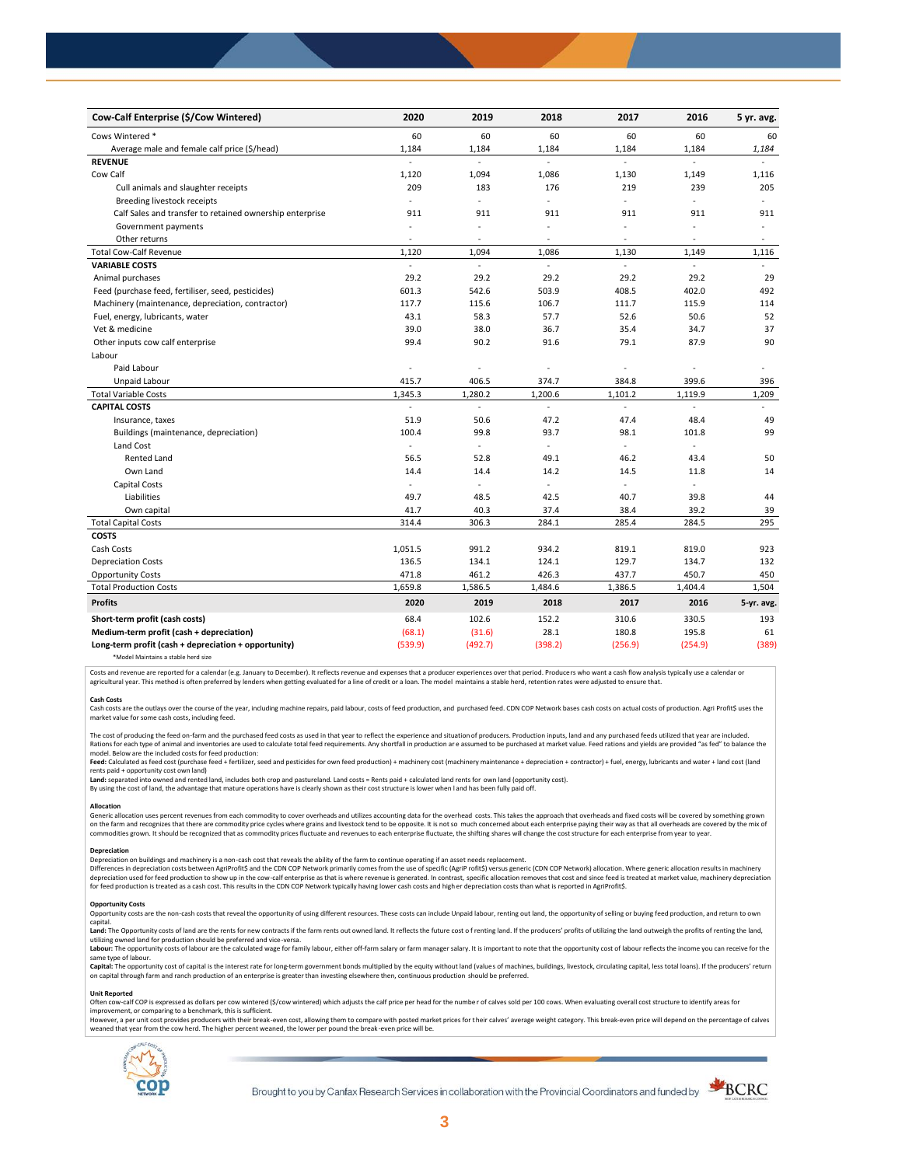| Cow-Calf Enterprise (\$/Cow Wintered)                    | 2020                     | 2019           | 2018                | 2017                     | 2016           | 5 yr. avg.               |
|----------------------------------------------------------|--------------------------|----------------|---------------------|--------------------------|----------------|--------------------------|
| Cows Wintered *                                          | 60                       | 60             | 60                  | 60                       | 60             | 60                       |
| Average male and female calf price (\$/head)             | 1,184                    | 1,184          | 1,184               | 1,184                    | 1,184          | 1,184                    |
| <b>REVENUE</b>                                           |                          | L.             | L.                  |                          | $\overline{a}$ |                          |
| Cow Calf                                                 | 1,120                    | 1,094          | 1,086               | 1,130                    | 1,149          | 1,116                    |
| Cull animals and slaughter receipts                      | 209                      | 183            | 176                 | 219                      | 239            | 205                      |
| Breeding livestock receipts                              | ÷.                       | ÷              | ÷,                  | ÷                        | ÷,             | ÷                        |
| Calf Sales and transfer to retained ownership enterprise | 911                      | 911            | 911                 | 911                      | 911            | 911                      |
| Government payments                                      | $\sim$                   | ÷,             | ÷,                  | $\sim$                   | ÷,             | $\overline{\phantom{a}}$ |
| Other returns                                            | $\overline{\phantom{a}}$ | ٠              | $\overline{a}$      | $\overline{\phantom{a}}$ | ÷,             | $\sim$                   |
| <b>Total Cow-Calf Revenue</b>                            | 1,120                    | 1,094          | 1,086               | 1,130                    | 1,149          | 1,116                    |
| <b>VARIABLE COSTS</b>                                    | ä,                       | L.             | $\bar{\phantom{a}}$ | ä,                       | ÷.             | $\omega$                 |
| Animal purchases                                         | 29.2                     | 29.2           | 29.2                | 29.2                     | 29.2           | 29                       |
| Feed (purchase feed, fertiliser, seed, pesticides)       | 601.3                    | 542.6          | 503.9               | 408.5                    | 402.0          | 492                      |
| Machinery (maintenance, depreciation, contractor)        | 117.7                    | 115.6          | 106.7               | 111.7                    | 115.9          | 114                      |
| Fuel, energy, lubricants, water                          | 43.1                     | 58.3           | 57.7                | 52.6                     | 50.6           | 52                       |
| Vet & medicine                                           | 39.0                     | 38.0           | 36.7                | 35.4                     | 34.7           | 37                       |
| Other inputs cow calf enterprise                         | 99.4                     | 90.2           | 91.6                | 79.1                     | 87.9           | 90                       |
| Labour                                                   |                          |                |                     |                          |                |                          |
| Paid Labour                                              | ÷.                       | ÷,             | ÷,                  | ÷                        | ÷,             |                          |
| Unpaid Labour                                            | 415.7                    | 406.5          | 374.7               | 384.8                    | 399.6          | 396                      |
| <b>Total Variable Costs</b>                              | 1,345.3                  | 1,280.2        | 1,200.6             | 1,101.2                  | 1,119.9        | 1,209                    |
| <b>CAPITAL COSTS</b>                                     |                          |                |                     |                          |                |                          |
| Insurance, taxes                                         | 51.9                     | 50.6           | 47.2                | 47.4                     | 48.4           | 49                       |
| Buildings (maintenance, depreciation)                    | 100.4                    | 99.8           | 93.7                | 98.1                     | 101.8          | 99                       |
| Land Cost                                                | ä,                       | $\blacksquare$ | ÷.                  | ÷                        | ÷,             |                          |
| <b>Rented Land</b>                                       | 56.5                     | 52.8           | 49.1                | 46.2                     | 43.4           | 50                       |
| Own Land                                                 | 14.4                     | 14.4           | 14.2                | 14.5                     | 11.8           | 14                       |
| Capital Costs                                            | L.                       | ÷,             |                     | $\blacksquare$           | ÷.             |                          |
| Liabilities                                              | 49.7                     | 48.5           | 42.5                | 40.7                     | 39.8           | 44                       |
| Own capital                                              | 41.7                     | 40.3           | 37.4                | 38.4                     | 39.2           | 39                       |
| <b>Total Capital Costs</b>                               | 314.4                    | 306.3          | 284.1               | 285.4                    | 284.5          | 295                      |
| <b>COSTS</b>                                             |                          |                |                     |                          |                |                          |
| Cash Costs                                               | 1,051.5                  | 991.2          | 934.2               | 819.1                    | 819.0          | 923                      |
| <b>Depreciation Costs</b>                                | 136.5                    | 134.1          | 124.1               | 129.7                    | 134.7          | 132                      |
| <b>Opportunity Costs</b>                                 | 471.8                    | 461.2          | 426.3               | 437.7                    | 450.7          | 450                      |
| <b>Total Production Costs</b>                            | 1,659.8                  | 1,586.5        | 1,484.6             | 1,386.5                  | 1,404.4        | 1,504                    |
| <b>Profits</b>                                           | 2020                     | 2019           | 2018                | 2017                     | 2016           | 5-yr. avg.               |
| Short-term profit (cash costs)                           | 68.4                     | 102.6          | 152.2               | 310.6                    | 330.5          | 193                      |
| Medium-term profit (cash + depreciation)                 | (68.1)                   | (31.6)         | 28.1                | 180.8                    | 195.8          | 61                       |
| Long-term profit (cash + depreciation + opportunity)     | (539.9)                  | (492.7)        | (398.2)             | (256.9)                  | (254.9)        | (389)                    |
|                                                          |                          |                |                     |                          |                |                          |

\*Model Maintains a stable herd size

Costs and revenue are reported for a calendar (e.g. January to December). It reflects revenue and expenses that a producer experiences over that period. Producers who want a cash flow analysis typically use a calendar or agricultural year. This method is often preferred by lenders when getting evaluated for a line of credit or a loan. The model maintains a stable herd, retention rates were adjusted to ensure that

C<mark>ash Costs</mark><br>Cash costs are the outlays over the course of the year, including machine repairs, paid labour, costs of feed production, and purchased feed. CDN COP Network bases cash costs on actual costs of production. Agr market value for some cash costs, including feed.

The cost of producing the feed on-farm and the purchased feed costs as used in that year to reflect the experience and situation of producers. Production inputs, land and any purchased feeds utilized that year are included model. Below are the included costs for feed production:

moder.outwhat was made used to receip would continuour.<br>**Feed:** Calculated as feed cost (purchase feed + fertilizer, seed and pesticides for own feed production) + machinery cost (machinery maintenance + depreciation + con rents paid + opportunity cost own land)

**Land:** separated into owned and rented land, includes both crop and pastureland. Land costs = Rents paid + calculated land rents for own land (opportunity cost).

By using the cost of land, the advantage that mature operations have is clearly shown as their cost structure is lower when l and has been fully paid off.

# **Allocation**

Generic allocation uses percent revenues from each commodity to cover overheads and utilizes accounting data for the overhead costs. This takes the approach that overheads and fixed costs will be covered by something grown commodities grown. It should be recognized that as commodity prices fluctuate and revenues to each enterprise fluctuate, the shifting shares will change the cost structure for each enterprise from year to year.

# **Depreciation**

Depreciation on buildings and machinery is a non-cash cost that reveals the ability of the farm to continue operating if an asset needs replacement. Differences in depreciation costs between AgriProfit\$ and the CDN COP Network primarily comes from the use of specific (AgriP rofit\$) versus generic (CDN COP Network) allocation. Where generic allocation results in machine

### **Opportunity Costs**

Provincing COSS are the non-cash costs that reveal the opportunity of using different resources. These costs can include Unpaid labour, renting out land, the opportunity of selling or buying feed production, and return to capital.

required.<br>Land: The Opportunity costs of land are the rents for new contracts if the farm rents out owned land. It reflects the future cost of renting land. If the producers' profits of utilizing the land outweigh the prof utilizing owned land for production should be preferred and vice-versa.<br>**Labour:** The opportunity costs of labour are the calculated wage for family labour, either off-farm salary or farm manager salary. It is important to

same type of labour.

**Capita**l: The opportunity cost of capital is the interest rate for long-term government bonds multiplied by the equity without land (values of machines, buildings, livestock, circulating capital, less total loans). If the

### **Unit Reported**

Often cow-calf COP is expressed as dollars per cow wintered (\$/cow wintered) which adjusts the calf price per head for the number of calves sold per 100 cows. When evaluating overall cost structure to identify areas for<br>im

however..export of the structure with the structure of the break-even cost. allowing them to compare with posted market prices for their calves' average weight category. This break-even price will depend on the percentage weaned that year from the cow herd. The higher percent weaned, the lower per pound the break -even price will be.



Brought to you by Canfax Research Services in collaboration with the Provincial Coordinators and funded by

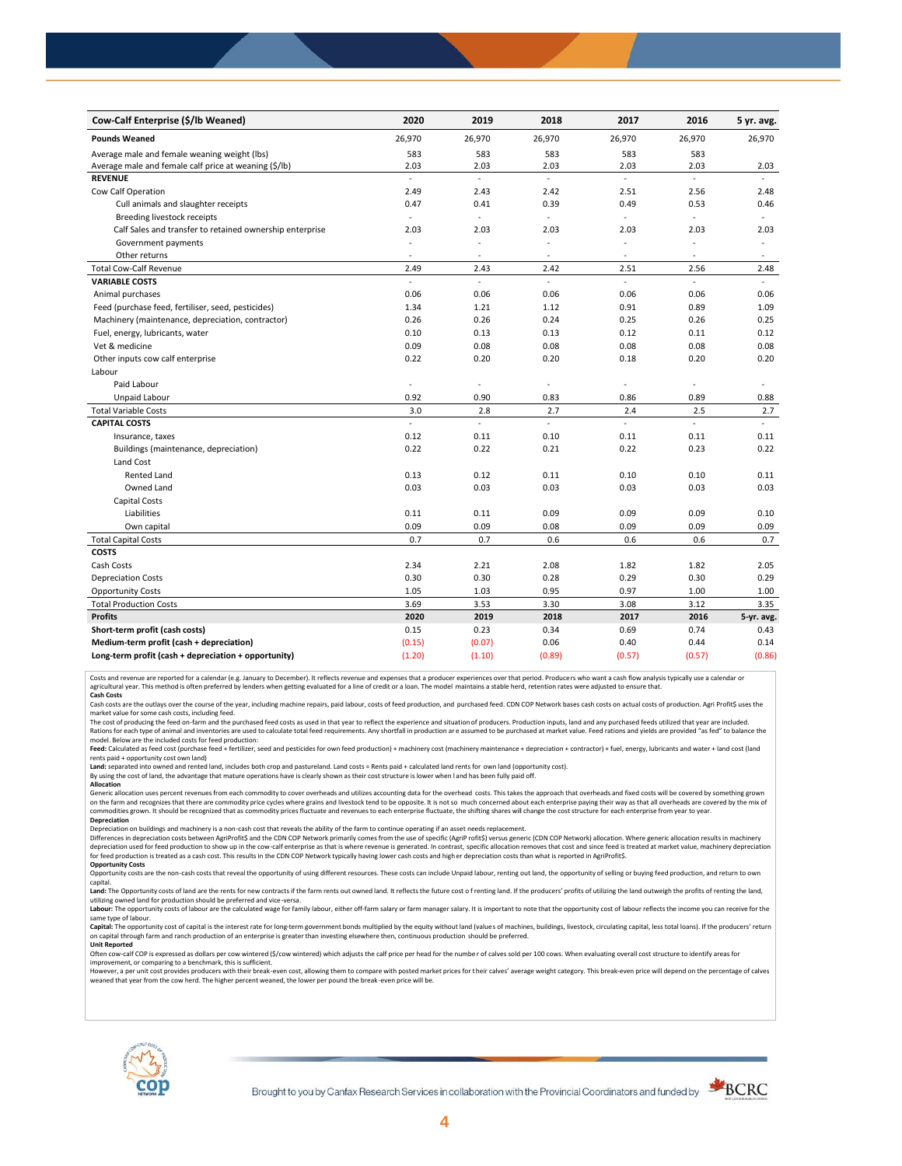| Cow-Calf Enterprise (\$/lb Weaned)                       | 2020                     | 2019           | 2018           | 2017           | 2016          | 5 yr. avg. |
|----------------------------------------------------------|--------------------------|----------------|----------------|----------------|---------------|------------|
| <b>Pounds Weaned</b>                                     | 26,970                   | 26,970         | 26,970         | 26,970         | 26,970        | 26,970     |
| Average male and female weaning weight (lbs)             | 583                      | 583            | 583            | 583            | 583           |            |
| Average male and female calf price at weaning (\$/lb)    | 2.03                     | 2.03           | 2.03           | 2.03           | 2.03          | 2.03       |
| <b>REVENUE</b>                                           | ä,                       | L.             | ä,             | ä,             | $\mathcal{L}$ |            |
| Cow Calf Operation                                       | 2.49                     | 2.43           | 2.42           | 2.51           | 2.56          | 2.48       |
| Cull animals and slaughter receipts                      | 0.47                     | 0.41           | 0.39           | 0.49           | 0.53          | 0.46       |
| Breeding livestock receipts                              | $\bar{z}$                | ä,             | L.             | $\blacksquare$ | ÷,            | $\equiv$   |
| Calf Sales and transfer to retained ownership enterprise | 2.03                     | 2.03           | 2.03           | 2.03           | 2.03          | 2.03       |
| Government payments                                      |                          | ÷,             | L,             | ä,             |               | ÷.         |
| Other returns                                            | $\sim$                   | ٠              | ٠              | $\sim$         | $\sim$        | $\sim$     |
| <b>Total Cow-Calf Revenue</b>                            | 2.49                     | 2.43           | 2.42           | 2.51           | 2.56          | 2.48       |
| <b>VARIABLE COSTS</b>                                    | $\overline{\phantom{a}}$ | ä,             | L.             | L.             | $\sim$        |            |
| Animal purchases                                         | 0.06                     | 0.06           | 0.06           | 0.06           | 0.06          | 0.06       |
| Feed (purchase feed, fertiliser, seed, pesticides)       | 1.34                     | 1.21           | 1.12           | 0.91           | 0.89          | 1.09       |
| Machinery (maintenance, depreciation, contractor)        | 0.26                     | 0.26           | 0.24           | 0.25           | 0.26          | 0.25       |
| Fuel, energy, lubricants, water                          | 0.10                     | 0.13           | 0.13           | 0.12           | 0.11          | 0.12       |
| Vet & medicine                                           | 0.09                     | 0.08           | 0.08           | 0.08           | 0.08          | 0.08       |
| Other inputs cow calf enterprise                         | 0.22                     | 0.20           | 0.20           | 0.18           | 0.20          | 0.20       |
| Labour                                                   |                          |                |                |                |               |            |
| Paid Labour                                              | $\overline{\phantom{a}}$ | $\blacksquare$ | ÷,             | ä,             | ÷,            |            |
| Unpaid Labour                                            | 0.92                     | 0.90           | 0.83           | 0.86           | 0.89          | 0.88       |
| <b>Total Variable Costs</b>                              | 3.0                      | 2.8            | 2.7            | 2.4            | 2.5           | 2.7        |
| <b>CAPITAL COSTS</b>                                     | $\overline{a}$           | L.             | $\blacksquare$ | L.             | L.            |            |
| Insurance, taxes                                         | 0.12                     | 0.11           | 0.10           | 0.11           | 0.11          | 0.11       |
| Buildings (maintenance, depreciation)                    | 0.22                     | 0.22           | 0.21           | 0.22           | 0.23          | 0.22       |
| Land Cost                                                |                          |                |                |                |               |            |
| <b>Rented Land</b>                                       | 0.13                     | 0.12           | 0.11           | 0.10           | 0.10          | 0.11       |
| Owned Land                                               | 0.03                     | 0.03           | 0.03           | 0.03           | 0.03          | 0.03       |
| <b>Capital Costs</b>                                     |                          |                |                |                |               |            |
| Liabilities                                              | 0.11                     | 0.11           | 0.09           | 0.09           | 0.09          | 0.10       |
| Own capital                                              | 0.09                     | 0.09           | 0.08           | 0.09           | 0.09          | 0.09       |
| <b>Total Capital Costs</b>                               | 0.7                      | 0.7            | 0.6            | 0.6            | 0.6           | 0.7        |
| <b>COSTS</b>                                             |                          |                |                |                |               |            |
| Cash Costs                                               | 2.34                     | 2.21           | 2.08           | 1.82           | 1.82          | 2.05       |
| <b>Depreciation Costs</b>                                | 0.30                     | 0.30           | 0.28           | 0.29           | 0.30          | 0.29       |
| <b>Opportunity Costs</b>                                 | 1.05                     | 1.03           | 0.95           | 0.97           | 1.00          | 1.00       |
| <b>Total Production Costs</b>                            | 3.69                     | 3.53           | 3.30           | 3.08           | 3.12          | 3.35       |
| <b>Profits</b>                                           | 2020                     | 2019           | 2018           | 2017           | 2016          | 5-yr. avg. |
| Short-term profit (cash costs)                           | 0.15                     | 0.23           | 0.34           | 0.69           | 0.74          | 0.43       |
| Medium-term profit (cash + depreciation)                 | (0.15)                   | (0.07)         | 0.06           | 0.40           | 0.44          | 0.14       |
| Long-term profit (cash + depreciation + opportunity)     | (1.20)                   | (1.10)         | (0.89)         | (0.57)         | (0.57)        | (0.86)     |

Costs and revenue are reported for a calendar (e.g. January to December). It reflects revenue and expenses that a producer experiences over that period. Producers who want a cash flow analysis typically use a calendar or<br>a

cash costs are the outlays over the course of the year, including machine repairs, paid labour, costs of feed production, and purchased feed. CDN COP Network bases cash costs on actual costs of production. Agri Profit\$ use market value for some cash costs, including feed.

The cost of producing the feed on-farm and the purchased feed costs as used in that year to reflect the experience and situation of producers. Production inputs, land and any purchased feeds utilized that year are included model. Below are the included costs for feed production:

Feed: Calculated as feed cost (purchase feed + fertilizer, seed and pesticides for own feed production) + machinery cost (machinery maintenance + depreciation + contractor) + fuel, energy, lubricants and water + land cost

Land: separated into owned and rented land, includes both crop and pastureland. Land costs = Rents paid + calculated land rents for own land (opportunity cost).

By using the cost of land, the advantage that mature operations have is clearly shown as their cost structure is lower when l and has been fully paid off. **Allocation**

Generic allocation uses percent revenues from each commodity to cover overheads and utilizes accounting data for the overhead costs. This takes the approach that overheads and fixed costs will be covered by something grown on the farm and recognizes that there are commodity price cycles where grains and livestock tend to be opposite. It is not so much concerned about each enterprise paying their way as that all overheads are covered by the m **Depreciation**

Depreciation on buildings and machinery is a non-cash cost that reveals the ability of the farm to continue operating if an asset needs replacement.

Differences in depreciation costs between AgriProfit\$ and the CDN COP Network primarily comes from the use of specific (AgriP rofit\$) versus generic (CDN COP Network) allocation. Where generic allocation results in machine

# **Opportunity Costs**

Opportunity costs are the non-cash costs that reveal the opportunity of using different resources. These costs can include Unpaid labour, renting out land, the opportunity of selling or buying feed production, and return t Land: The Opportunity costs of land are the rents for new contracts if the farm rents out owned land. It reflects the future cost of renting land. If the producers' profits of utilizing the land outweigh the profits of ren

utilizing owned land for production should be preferred and vice-versa.<br>**Labour:** The opportunity costs of labour are the calculated wage for family labour, either off-farm salary or farm manager salary. It is important to same type of labour.

Capital: The opportunity cost of capital is the interest rate for long-term government bonds multiplied by the equity without land (values of machines, buildings, livestock, circulating capital, less total loans). If the p on capital through farm and ranch production of an enterprise is greater than investing elsewhere then, continuous production should be preferred. **Unit Reported**

Often cow-calf COP is expressed as dollars per cow wintered (\$/cow wintered) which adjusts the calf price per head for the numbe r of calves sold per 100 cows. When evaluating overall cost structure to identify areas for

improvement, or comparing to a benchmark, this is sufficient.<br>However, a per unit cost provides producers with their break-even cost, allowing them to compare with posted market prices for their calves' average weight cate weaned that year from the cow herd. The higher percent weaned, the lower per pound the break -even price will be.



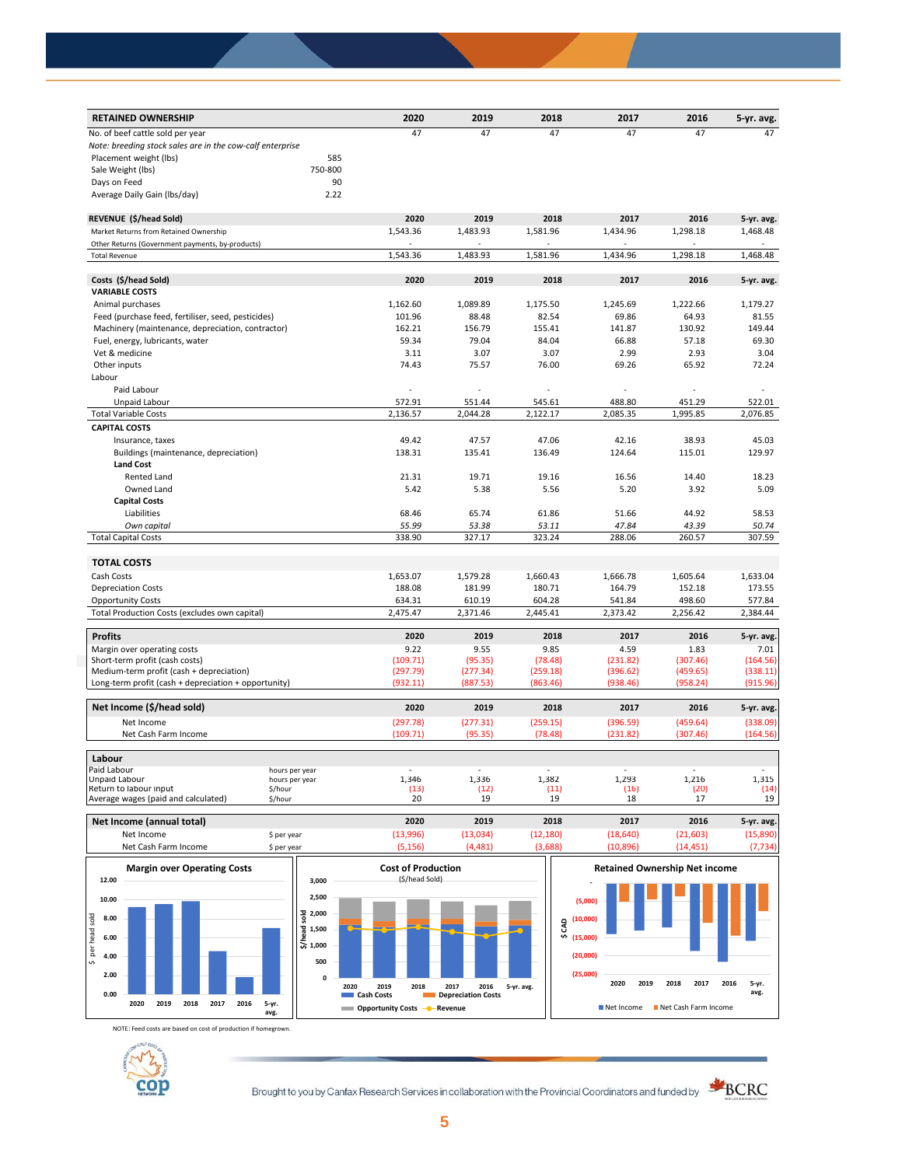| <b>RETAINED OWNERSHIP</b>                                 | 2020     | 2019     | 2018     | 2017     | 2016     | 5-yr. avg. |
|-----------------------------------------------------------|----------|----------|----------|----------|----------|------------|
| No. of beef cattle sold per year                          | 47       | 47       | 47       | 47       | 47       | 47         |
| Note: breeding stock sales are in the cow-calf enterprise |          |          |          |          |          |            |
| Placement weight (lbs)<br>585                             |          |          |          |          |          |            |
| Sale Weight (lbs)<br>750-800                              |          |          |          |          |          |            |
| 90<br>Days on Feed                                        |          |          |          |          |          |            |
| 2.22<br>Average Daily Gain (Ibs/day)                      |          |          |          |          |          |            |
| REVENUE (\$/head Sold)                                    | 2020     | 2019     | 2018     | 2017     | 2016     | 5-yr. avg. |
| Market Returns from Retained Ownership                    | 1,543.36 | 1,483.93 | 1,581.96 | 1,434.96 | 1,298.18 | 1,468.48   |
| Other Returns (Government payments, by-products)          |          |          |          |          |          |            |
| <b>Total Revenue</b>                                      | 1,543.36 | 1,483.93 | 1,581.96 | 1,434.96 | 1,298.18 | 1,468.48   |
| Costs (\$/head Sold)                                      | 2020     | 2019     | 2018     | 2017     | 2016     | 5-yr. avg. |
| <b>VARIABLE COSTS</b>                                     |          |          |          |          |          |            |
| Animal purchases                                          | 1,162.60 | 1,089.89 | 1,175.50 | 1,245.69 | 1,222.66 | 1,179.27   |
| Feed (purchase feed, fertiliser, seed, pesticides)        | 101.96   | 88.48    | 82.54    | 69.86    | 64.93    | 81.55      |
| Machinery (maintenance, depreciation, contractor)         | 162.21   | 156.79   | 155.41   | 141.87   | 130.92   | 149.44     |
| Fuel, energy, lubricants, water                           | 59.34    | 79.04    | 84.04    | 66.88    | 57.18    | 69.30      |
| Vet & medicine                                            | 3.11     | 3.07     | 3.07     | 2.99     | 2.93     | 3.04       |
| Other inputs                                              | 74.43    | 75.57    | 76.00    | 69.26    | 65.92    | 72.24      |
| Labour                                                    |          |          |          |          |          |            |
| Paid Labour                                               |          |          |          |          |          |            |
| Unpaid Labour                                             | 572.91   | 551.44   | 545.61   | 488.80   | 451.29   | 522.01     |
| <b>Total Variable Costs</b>                               | 2,136.57 | 2,044.28 | 2,122.17 | 2,085.35 | 1,995.85 | 2,076.85   |
| <b>CAPITAL COSTS</b>                                      |          |          |          |          |          |            |
| Insurance, taxes                                          | 49.42    | 47.57    | 47.06    | 42.16    | 38.93    | 45.03      |
| Buildings (maintenance, depreciation)                     | 138.31   | 135.41   | 136.49   | 124.64   | 115.01   | 129.97     |
| <b>Land Cost</b>                                          |          |          |          |          |          |            |
| Rented Land                                               | 21.31    | 19.71    | 19.16    | 16.56    | 14.40    | 18.23      |
| Owned Land                                                | 5.42     | 5.38     | 5.56     | 5.20     | 3.92     | 5.09       |
| <b>Capital Costs</b>                                      |          |          |          |          |          |            |
| Liabilities                                               | 68.46    | 65.74    | 61.86    | 51.66    | 44.92    | 58.53      |
| Own capital                                               | 55.99    | 53.38    | 53.11    | 47.84    | 43.39    | 50.74      |
| <b>Total Capital Costs</b>                                | 338.90   | 327.17   | 323.24   | 288.06   | 260.57   | 307.59     |
|                                                           |          |          |          |          |          |            |
| <b>TOTAL COSTS</b>                                        |          |          |          |          |          |            |
| Cash Costs                                                | 1,653.07 | 1,579.28 | 1,660.43 | 1,666.78 | 1,605.64 | 1,633.04   |
| <b>Depreciation Costs</b>                                 | 188.08   | 181.99   | 180.71   | 164.79   | 152.18   | 173.55     |
| <b>Opportunity Costs</b>                                  | 634.31   | 610.19   | 604.28   | 541.84   | 498.60   | 577.84     |
| Total Production Costs (excludes own capital)             | 2,475.47 | 2,371.46 | 2,445.41 | 2,373.42 | 2,256.42 | 2,384.44   |
| <b>Profits</b>                                            | 2020     | 2019     | 2018     | 2017     | 2016     | 5-yr. avg. |
| Margin over operating costs                               | 9.22     | 9.55     | 9.85     | 4.59     | 1.83     | 7.01       |
| Short-term profit (cash costs)                            | (109.71) | (95.35)  | (78.48)  | (231.82) | (307.46) | (164.56)   |
| Medium-term profit (cash + depreciation)                  | (297.79) | (277.34) | (259.18) | (396.62) | (459.65) | (338.11)   |
| Long-term profit (cash + depreciation + opportunity)      | (932.11) | (887.53) | (863.46) | (938.46) | (958.24) | (915.96)   |
| Net Income (\$/head sold)                                 | 2020     | 2019     | 2018     | 2017     | 2016     | 5-yr. avg. |
| Net Income                                                | (297.78) | (277.31) | (259.15) | (396.59) | (459.64) | (338.09)   |
| Net Cash Farm Income                                      | (109.71) | (95.35)  | (78.48)  | (231.82) | (307.46) | (164.56)   |
| Labour                                                    |          |          |          |          |          |            |
| Paid Labour<br>hours per year                             |          |          |          |          |          |            |
| Unpaid Labour<br>hours per year                           | 1,346    | 1,336    | 1,382    | 1,293    | 1,216    | 1,315      |
| Return to labour input<br>\$/hour                         | (13)     | (12)     | (11)     | (16)     | (20)     | (14)       |
| Average wages (paid and calculated)<br>\$/hour            | 20       | 19       | 19       | 18       | 17       | 19         |
| Net Income (annual total)                                 | 2020     | 2019     | 2018     | 2017     | 2016     | 5-yr. avg. |



Net Income \$ per year (13,996) (13,034) (12,180) (18,640) (21,603) (15,890)

NOTE: Feed costs are based on cost of production if homegrown.



Brought to you by Canfax Research Services in collaboration with the Provincial Coordinators and funded by **SCRC**